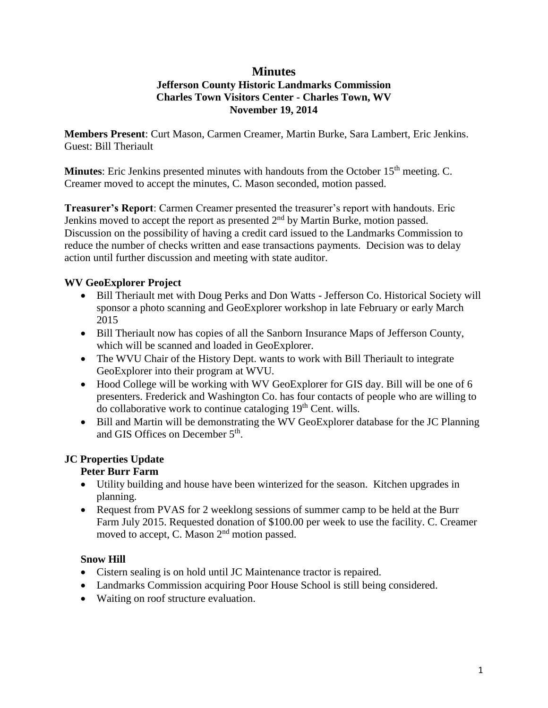#### **Minutes Jefferson County Historic Landmarks Commission Charles Town Visitors Center - Charles Town, WV November 19, 2014**

**Members Present**: Curt Mason, Carmen Creamer, Martin Burke, Sara Lambert, Eric Jenkins. Guest: Bill Theriault

**Minutes**: Eric Jenkins presented minutes with handouts from the October 15<sup>th</sup> meeting. C. Creamer moved to accept the minutes, C. Mason seconded, motion passed.

**Treasurer's Report**: Carmen Creamer presented the treasurer's report with handouts. Eric Jenkins moved to accept the report as presented  $2<sup>nd</sup>$  by Martin Burke, motion passed. Discussion on the possibility of having a credit card issued to the Landmarks Commission to reduce the number of checks written and ease transactions payments. Decision was to delay action until further discussion and meeting with state auditor.

## **WV GeoExplorer Project**

- Bill Theriault met with Doug Perks and Don Watts Jefferson Co. Historical Society will sponsor a photo scanning and GeoExplorer workshop in late February or early March 2015
- Bill Theriault now has copies of all the Sanborn Insurance Maps of Jefferson County, which will be scanned and loaded in GeoExplorer.
- The WVU Chair of the History Dept. wants to work with Bill Theriault to integrate GeoExplorer into their program at WVU.
- Hood College will be working with WV GeoExplorer for GIS day. Bill will be one of 6 presenters. Frederick and Washington Co. has four contacts of people who are willing to do collaborative work to continue cataloging 19<sup>th</sup> Cent. wills.
- Bill and Martin will be demonstrating the WV GeoExplorer database for the JC Planning and GIS Offices on December 5<sup>th</sup>.

# **JC Properties Update**

## **Peter Burr Farm**

- Utility building and house have been winterized for the season. Kitchen upgrades in planning.
- Request from PVAS for 2 weeklong sessions of summer camp to be held at the Burr Farm July 2015. Requested donation of \$100.00 per week to use the facility. C. Creamer moved to accept, C. Mason 2<sup>nd</sup> motion passed.

## **Snow Hill**

- Cistern sealing is on hold until JC Maintenance tractor is repaired.
- Landmarks Commission acquiring Poor House School is still being considered.
- Waiting on roof structure evaluation.